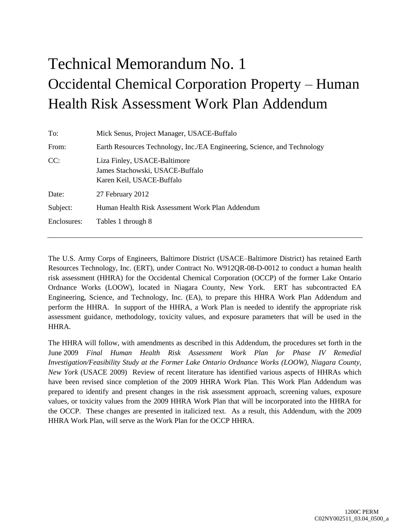# Technical Memorandum No. 1 Occidental Chemical Corporation Property – Human Health Risk Assessment Work Plan Addendum

| To:         | Mick Senus, Project Manager, USACE-Buffalo                                                   |  |  |  |  |  |
|-------------|----------------------------------------------------------------------------------------------|--|--|--|--|--|
| From:       | Earth Resources Technology, Inc./EA Engineering, Science, and Technology                     |  |  |  |  |  |
| CC:         | Liza Finley, USACE-Baltimore<br>James Stachowski, USACE-Buffalo<br>Karen Keil, USACE-Buffalo |  |  |  |  |  |
| Date:       | 27 February 2012                                                                             |  |  |  |  |  |
| Subject:    | Human Health Risk Assessment Work Plan Addendum                                              |  |  |  |  |  |
| Enclosures: | Tables 1 through 8                                                                           |  |  |  |  |  |
|             |                                                                                              |  |  |  |  |  |

The U.S. Army Corps of Engineers, Baltimore District (USACE–Baltimore District) has retained Earth Resources Technology, Inc. (ERT), under Contract No. W912QR-08-D-0012 to conduct a human health risk assessment (HHRA) for the Occidental Chemical Corporation (OCCP) of the former Lake Ontario Ordnance Works (LOOW), located in Niagara County, New York. ERT has subcontracted EA Engineering, Science, and Technology, Inc. (EA), to prepare this HHRA Work Plan Addendum and perform the HHRA. In support of the HHRA, a Work Plan is needed to identify the appropriate risk assessment guidance, methodology, toxicity values, and exposure parameters that will be used in the HHRA.

The HHRA will follow, with amendments as described in this Addendum, the procedures set forth in the June 2009 *Final Human Health Risk Assessment Work Plan for Phase IV Remedial Investigation/Feasibility Study at the Former Lake Ontario Ordnance Works (LOOW), Niagara County, New York* (USACE 2009) Review of recent literature has identified various aspects of HHRAs which have been revised since completion of the 2009 HHRA Work Plan. This Work Plan Addendum was prepared to identify and present changes in the risk assessment approach, screening values, exposure values, or toxicity values from the 2009 HHRA Work Plan that will be incorporated into the HHRA for the OCCP. These changes are presented in italicized text. As a result, this Addendum, with the 2009 HHRA Work Plan, will serve as the Work Plan for the OCCP HHRA.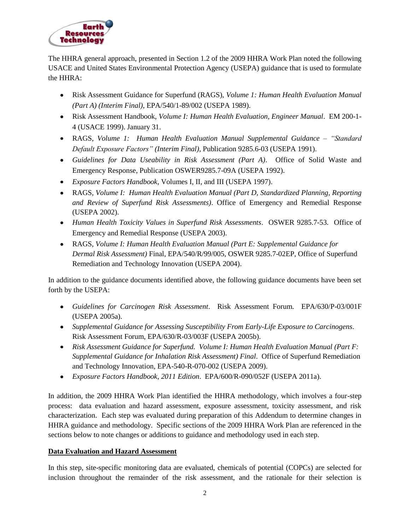

The HHRA general approach, presented in Section 1.2 of the 2009 HHRA Work Plan noted the following USACE and United States Environmental Protection Agency (USEPA) guidance that is used to formulate the HHRA:

- Risk Assessment Guidance for Superfund (RAGS), *Volume 1: Human Health Evaluation Manual (Part A) (Interim Final)*, EPA/540/1-89/002 (USEPA 1989).
- Risk Assessment Handbook, *Volume I: Human Health Evaluation, Engineer Manual*. EM 200-1- 4 (USACE 1999). January 31.
- RAGS, *Volume 1: Human Health Evaluation Manual Supplemental Guidance – "Standard Default Exposure Factors" (Interim Final)*, Publication 9285.6-03 (USEPA 1991).
- *Guidelines for Data Useability in Risk Assessment (Part A)*. Office of Solid Waste and Emergency Response, Publication OSWER9285.7-09A (USEPA 1992).
- *Exposure Factors Handbook*, Volumes I, II, and III (USEPA 1997).
- RAGS, *Volume I: Human Health Evaluation Manual (Part D, Standardized Planning, Reporting and Review of Superfund Risk Assessments)*. Office of Emergency and Remedial Response (USEPA 2002).
- *Human Health Toxicity Values in Superfund Risk Assessments*. OSWER 9285.7-53. Office of Emergency and Remedial Response (USEPA 2003).
- RAGS, *Volume I: Human Health Evaluation Manual (Part E: Supplemental Guidance for Dermal Risk Assessment)* Final, EPA/540/R/99/005, OSWER 9285.7-02EP, Office of Superfund Remediation and Technology Innovation (USEPA 2004).

In addition to the guidance documents identified above, the following guidance documents have been set forth by the USEPA:

- *Guidelines for Carcinogen Risk Assessment*. Risk Assessment Forum. EPA/630/P-03/001F (USEPA 2005a).
- *Supplemental Guidance for Assessing Susceptibility From Early-Life Exposure to Carcinogens*. Risk Assessment Forum, EPA/630/R-03/003F (USEPA 2005b).
- *Risk Assessment Guidance for Superfund. Volume I: Human Health Evaluation Manual (Part F: Supplemental Guidance for Inhalation Risk Assessment) Final*. Office of Superfund Remediation and Technology Innovation, EPA-540-R-070-002 (USEPA 2009).
- *Exposure Factors Handbook*, *2011 Edition*. EPA/600/R-090/052F (USEPA 2011a).

In addition, the 2009 HHRA Work Plan identified the HHRA methodology, which involves a four-step process: data evaluation and hazard assessment, exposure assessment, toxicity assessment, and risk characterization. Each step was evaluated during preparation of this Addendum to determine changes in HHRA guidance and methodology. Specific sections of the 2009 HHRA Work Plan are referenced in the sections below to note changes or additions to guidance and methodology used in each step.

# **Data Evaluation and Hazard Assessment**

In this step, site-specific monitoring data are evaluated, chemicals of potential (COPCs) are selected for inclusion throughout the remainder of the risk assessment, and the rationale for their selection is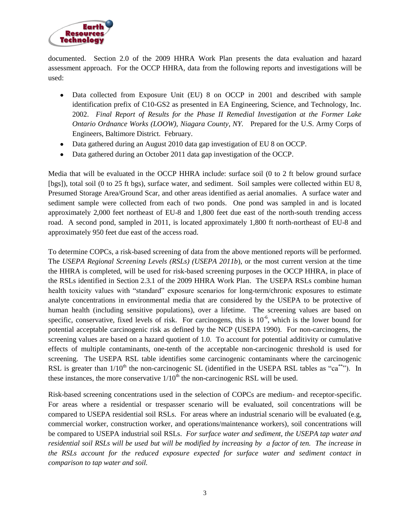

documented. Section 2.0 of the 2009 HHRA Work Plan presents the data evaluation and hazard assessment approach. For the OCCP HHRA, data from the following reports and investigations will be used:

- Data collected from Exposure Unit (EU) 8 on OCCP in 2001 and described with sample  $\bullet$ identification prefix of C10-GS2 as presented in EA Engineering, Science, and Technology, Inc. 2002. *Final Report of Results for the Phase II Remedial Investigation at the Former Lake Ontario Ordnance Works (LOOW), Niagara County, NY.* Prepared for the U.S. Army Corps of Engineers, Baltimore District. February.
- Data gathered during an August 2010 data gap investigation of EU 8 on OCCP.
- Data gathered during an October 2011 data gap investigation of the OCCP.  $\bullet$

Media that will be evaluated in the OCCP HHRA include: surface soil (0 to 2 ft below ground surface [bgs]), total soil (0 to 25 ft bgs), surface water, and sediment. Soil samples were collected within EU 8, Presumed Storage Area/Ground Scar, and other areas identified as aerial anomalies. A surface water and sediment sample were collected from each of two ponds. One pond was sampled in and is located approximately 2,000 feet northeast of EU-8 and 1,800 feet due east of the north-south trending access road. A second pond, sampled in 2011, is located approximately 1,800 ft north-northeast of EU-8 and approximately 950 feet due east of the access road.

To determine COPCs, a risk-based screening of data from the above mentioned reports will be performed. The *USEPA Regional Screening Levels (RSLs) (USEPA 2011b*), or the most current version at the time the HHRA is completed, will be used for risk-based screening purposes in the OCCP HHRA, in place of the RSLs identified in Section 2.3.1 of the 2009 HHRA Work Plan. The USEPA RSLs combine human health toxicity values with "standard" exposure scenarios for long-term/chronic exposures to estimate analyte concentrations in environmental media that are considered by the USEPA to be protective of human health (including sensitive populations), over a lifetime. The screening values are based on specific, conservative, fixed levels of risk. For carcinogens, this is  $10^{-6}$ , which is the lower bound for potential acceptable carcinogenic risk as defined by the NCP (USEPA 1990). For non-carcinogens, the screening values are based on a hazard quotient of 1.0. To account for potential additivity or cumulative effects of multiple contaminants, one-tenth of the acceptable non-carcinogenic threshold is used for screening. The USEPA RSL table identifies some carcinogenic contaminants where the carcinogenic RSL is greater than  $1/10<sup>th</sup>$  the non-carcinogenic SL (identified in the USEPA RSL tables as "ca<sup>\*\*\*</sup>"). In these instances, the more conservative  $1/10<sup>th</sup>$  the non-carcinogenic RSL will be used.

Risk-based screening concentrations used in the selection of COPCs are medium- and receptor-specific. For areas where a residential or trespasser scenario will be evaluated, soil concentrations will be compared to USEPA residential soil RSLs. For areas where an industrial scenario will be evaluated (e.g, commercial worker, construction worker, and operations/maintenance workers), soil concentrations will be compared to USEPA industrial soil RSLs. *For surface water and sediment, the USEPA tap water and residential soil RSLs will be used but will be modified by increasing by a factor of ten. The increase in the RSLs account for the reduced exposure expected for surface water and sediment contact in comparison to tap water and soil.*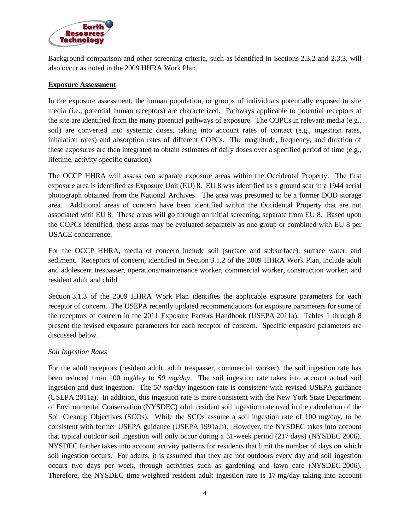

Background comparison and other screening criteria, such as identified in Sections 2.3.2 and 2.3.3, will also occur as noted in the 2009 HHRA Work Plan.

# **Exposure Assessment**

In the exposure assessment, the human population, or groups of individuals potentially exposed to site media (i.e., potential human receptors) are characterized. Pathways applicable to potential receptors at the site are identified from the many potential pathways of exposure. The COPCs in relevant media (e.g., soil) are converted into systemic doses, taking into account rates of contact (e.g., ingestion rates, inhalation rates) and absorption rates of different COPCs. The magnitude, frequency, and duration of these exposures are then integrated to obtain estimates of daily doses over a specified period of time (e.g., lifetime, activity-specific duration).

The OCCP HHRA will assess two separate exposure areas within the Occidental Property. The first exposure area is identified as Exposure Unit (EU) 8. EU 8 was identified as a ground scar in a 1944 aerial photograph obtained from the National Archives. The area was presumed to be a former DOD storage area. Additional areas of concern have been identified within the Occidental Property that are not associated with EU 8. These areas will go through an initial screening, separate from EU 8. Based upon the COPCs identified, these areas may be evaluated separately as one group or combined with EU 8 per USACE concurrence.

For the OCCP HHRA, media of concern include soil (surface and subsurface), surface water, and sediment. Receptors of concern, identified in Section 3.1.2 of the 2009 HHRA Work Plan, include adult and adolescent trespasser, operations/maintenance worker, commercial worker, construction worker, and resident adult and child.

Section 3.1.3 of the 2009 HHRA Work Plan identifies the applicable exposure parameters for each receptor of concern. The USEPA recently updated recommendations for exposure parameters for some of the receptors of concern in the 2011 Exposure Factors Handbook (USEPA 2011a). Tables 1 through 8 present the revised exposure parameters for each receptor of concern. Specific exposure parameters are discussed below.

# *Soil Ingestion Rates*

For the adult receptors (resident adult, adult trespasser, commercial worker), the soil ingestion rate has been reduced from 100 mg/day to *50 mg/day*. The soil ingestion rate takes into account actual soil ingestion and dust ingestion. The *50 mg/day* ingestion rate is consistent with revised USEPA guidance (USEPA 2011a). In addition, this ingestion rate is more consistent with the New York State Department of Environmental Conservation (NYSDEC) adult resident soil ingestion rate used in the calculation of the Soil Cleanup Objectives (SCOs). While the SCOs assume a soil ingestion rate of 100 mg/day, to be consistent with former USEPA guidance (USEPA 1991a,b). However, the NYSDEC takes into account that typical outdoor soil ingestion will only occur during a 31-week period (217 days) (NYSDEC 2006). NYSDEC further takes into account activity patterns for residents that limit the number of days on which soil ingestion occurs. For adults, it is assumed that they are not outdoors every day and soil ingestion occurs two days per week, through activities such as gardening and lawn care (NYSDEC 2006). Therefore, the NYSDEC time-weighted resident adult ingestion rate is 17 mg/day taking into account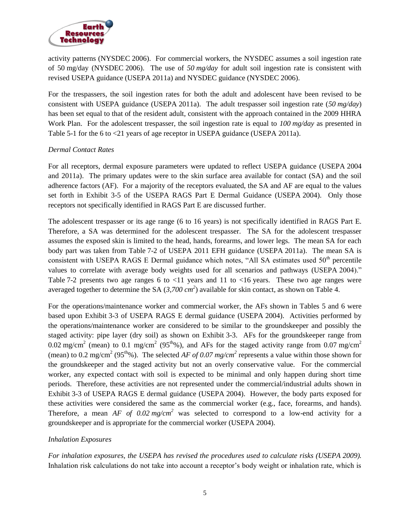

activity patterns (NYSDEC 2006). For commercial workers, the NYSDEC assumes a soil ingestion rate of 50 mg/day (NYSDEC 2006). The use of *50 mg/day* for adult soil ingestion rate is consistent with revised USEPA guidance (USEPA 2011a) and NYSDEC guidance (NYSDEC 2006).

For the trespassers, the soil ingestion rates for both the adult and adolescent have been revised to be consistent with USEPA guidance (USEPA 2011a). The adult trespasser soil ingestion rate (*50 mg/day*) has been set equal to that of the resident adult, consistent with the approach contained in the 2009 HHRA Work Plan. For the adolescent trespasser, the soil ingestion rate is equal to *100 mg/day* as presented in Table 5-1 for the 6 to <21 years of age receptor in USEPA guidance (USEPA 2011a).

# *Dermal Contact Rates*

For all receptors, dermal exposure parameters were updated to reflect USEPA guidance (USEPA 2004 and 2011a). The primary updates were to the skin surface area available for contact (SA) and the soil adherence factors (AF). For a majority of the receptors evaluated, the SA and AF are equal to the values set forth in Exhibit 3-5 of the USEPA RAGS Part E Dermal Guidance (USEPA 2004). Only those receptors not specifically identified in RAGS Part E are discussed further.

The adolescent trespasser or its age range (6 to 16 years) is not specifically identified in RAGS Part E. Therefore, a SA was determined for the adolescent trespasser. The SA for the adolescent trespasser assumes the exposed skin is limited to the head, hands, forearms, and lower legs. The mean SA for each body part was taken from Table 7-2 of USEPA 2011 EFH guidance (USEPA 2011a). The mean SA is consistent with USEPA RAGS E Dermal guidance which notes, "All SA estimates used  $50<sup>th</sup>$  percentile values to correlate with average body weights used for all scenarios and pathways (USEPA 2004)." Table 7-2 presents two age ranges 6 to  $\langle 11 \rangle$  years and 11 to  $\langle 16 \rangle$  years. These two age ranges were averaged together to determine the SA  $(3,700 \text{ cm}^2)$  available for skin contact, as shown on Table 4.

For the operations/maintenance worker and commercial worker, the AFs shown in Tables 5 and 6 were based upon Exhibit 3-3 of USEPA RAGS E dermal guidance (USEPA 2004). Activities performed by the operations/maintenance worker are considered to be similar to the groundskeeper and possibly the staged activity: pipe layer (dry soil) as shown on Exhibit 3-3. AFs for the groundskeeper range from 0.02 mg/cm<sup>2</sup> (mean) to 0.1 mg/cm<sup>2</sup> (95<sup>th</sup>%), and AFs for the staged activity range from 0.07 mg/cm<sup>2</sup> (mean) to 0.2 mg/cm<sup>2</sup> (95<sup>th</sup>%). The selected *AF of 0.07 mg/cm*<sup>2</sup> represents a value within those shown for the groundskeeper and the staged activity but not an overly conservative value. For the commercial worker, any expected contact with soil is expected to be minimal and only happen during short time periods. Therefore, these activities are not represented under the commercial/industrial adults shown in Exhibit 3-3 of USEPA RAGS E dermal guidance (USEPA 2004). However, the body parts exposed for these activities were considered the same as the commercial worker (e.g., face, forearms, and hands). Therefore, a mean *AF of 0.02 mg/cm<sup>2</sup>* was selected to correspond to a low-end activity for a groundskeeper and is appropriate for the commercial worker (USEPA 2004).

# *Inhalation Exposures*

*For inhalation exposures, the USEPA has revised the procedures used to calculate risks (USEPA 2009).* Inhalation risk calculations do not take into account a receptor's body weight or inhalation rate, which is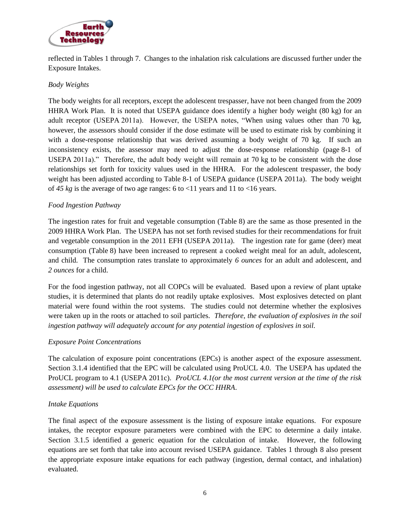

reflected in Tables 1 through 7. Changes to the inhalation risk calculations are discussed further under the Exposure Intakes.

# *Body Weights*

The body weights for all receptors, except the adolescent trespasser, have not been changed from the 2009 HHRA Work Plan. It is noted that USEPA guidance does identify a higher body weight (80 kg) for an adult receptor (USEPA 2011a). However, the USEPA notes, "When using values other than 70 kg, however, the assessors should consider if the dose estimate will be used to estimate risk by combining it with a dose-response relationship that was derived assuming a body weight of 70 kg. If such an inconsistency exists, the assessor may need to adjust the dose-response relationship (page 8-1 of USEPA 2011a)." Therefore, the adult body weight will remain at 70 kg to be consistent with the dose relationships set forth for toxicity values used in the HHRA. For the adolescent trespasser, the body weight has been adjusted according to Table 8-1 of USEPA guidance (USEPA 2011a). The body weight of 45  $kg$  is the average of two age ranges: 6 to <11 years and 11 to <16 years.

# *Food Ingestion Pathway*

The ingestion rates for fruit and vegetable consumption (Table 8) are the same as those presented in the 2009 HHRA Work Plan. The USEPA has not set forth revised studies for their recommendations for fruit and vegetable consumption in the 2011 EFH (USEPA 2011a). The ingestion rate for game (deer) meat consumption (Table 8) have been increased to represent a cooked weight meal for an adult, adolescent, and child. The consumption rates translate to approximately *6 ounces* for an adult and adolescent, and *2 ounces* for a child.

For the food ingestion pathway, not all COPCs will be evaluated. Based upon a review of plant uptake studies, it is determined that plants do not readily uptake explosives. Most explosives detected on plant material were found within the root systems. The studies could not determine whether the explosives were taken up in the roots or attached to soil particles. *Therefore, the evaluation of explosives in the soil ingestion pathway will adequately account for any potential ingestion of explosives in soil.* 

# *Exposure Point Concentrations*

The calculation of exposure point concentrations (EPCs) is another aspect of the exposure assessment. Section 3.1.4 identified that the EPC will be calculated using ProUCL 4.0. The USEPA has updated the ProUCL program to 4.1 (USEPA 2011c). *ProUCL 4.1(or the most current version at the time of the risk assessment) will be used to calculate EPCs for the OCC HHRA*.

# *Intake Equations*

The final aspect of the exposure assessment is the listing of exposure intake equations. For exposure intakes, the receptor exposure parameters were combined with the EPC to determine a daily intake. Section 3.1.5 identified a generic equation for the calculation of intake. However, the following equations are set forth that take into account revised USEPA guidance. Tables 1 through 8 also present the appropriate exposure intake equations for each pathway (ingestion, dermal contact, and inhalation) evaluated.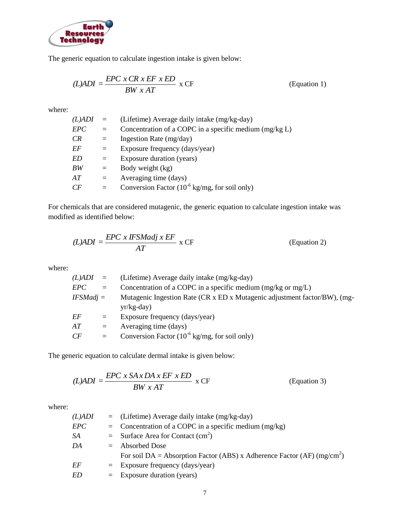

The generic equation to calculate ingestion intake is given below:

$$
(L)ADI = \frac{EPC \times CR \times EF \times ED}{BW \times AT} \times CF
$$
 (Equation 1)

where:

| $(L)$ ADI | $=$ | (Lifetime) Average daily intake (mg/kg-day)                |
|-----------|-----|------------------------------------------------------------|
| EPC       | $=$ | Concentration of a COPC in a specific medium $(mg/kg L)$   |
| CR        | $=$ | Ingestion Rate (mg/day)                                    |
| EF        | $=$ | Exposure frequency (days/year)                             |
| ED        | $=$ | Exposure duration (years)                                  |
| BW        | $=$ | Body weight (kg)                                           |
| AT        | $=$ | Averaging time (days)                                      |
| CF        |     | Conversion Factor $(10^{-6} \text{ kg/mg, for soil only})$ |

For chemicals that are considered mutagenic, the generic equation to calculate ingestion intake was modified as identified below:

$$
(L)ADI = \frac{EPC \times IFSMadj \times EF}{AT} \times CF
$$
 (Equation 2)

where:

| $(L)$ ADI = |     | (Lifetime) Average daily intake (mg/kg-day)                               |
|-------------|-----|---------------------------------------------------------------------------|
| EPC         | $=$ | Concentration of a COPC in a specific medium $(mg/kg \text{ or } mg/L)$   |
| $IFSMadi =$ |     | Mutagenic Ingestion Rate (CR x ED x Mutagenic adjustment factor/BW), (mg- |
|             |     | $yr/kg$ -day)                                                             |
| EF          | $=$ | Exposure frequency (days/year)                                            |
| AT          | $=$ | Averaging time (days)                                                     |
| CF          | $=$ | Conversion Factor $(10^{-6} \text{ kg/mg, for soil only})$                |
|             |     |                                                                           |

The generic equation to calculate dermal intake is given below:

$$
(L)ADI = \frac{EPC \times SAxDA \times EF \times ED}{BW \times AT} \times CF
$$
 (Equation 3)

where:

| $(L)$ ADI | $=$ (Lifetime) Average daily intake (mg/kg-day)                                     |  |  |  |  |  |
|-----------|-------------------------------------------------------------------------------------|--|--|--|--|--|
| EPC       | $=$ Concentration of a COPC in a specific medium (mg/kg)                            |  |  |  |  |  |
| SA        | $=$ Surface Area for Contact (cm <sup>2</sup> )                                     |  |  |  |  |  |
| DA        | $=$ Absorbed Dose                                                                   |  |  |  |  |  |
|           | For soil DA = Absorption Factor (ABS) x Adherence Factor (AF) (mg/cm <sup>2</sup> ) |  |  |  |  |  |
| EF        | $=$ Exposure frequency (days/year)                                                  |  |  |  |  |  |
| ED        | $=$ Exposure duration (years)                                                       |  |  |  |  |  |
|           |                                                                                     |  |  |  |  |  |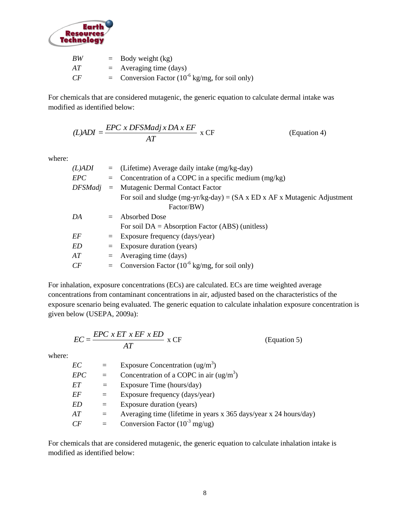

| BW | $=$ Body weight (kg)                                                 |
|----|----------------------------------------------------------------------|
| АT | $=$ Averaging time (days)                                            |
| CF | = Conversion Factor $(10^{-6} \text{ kg/mg}, \text{ for soil only})$ |

For chemicals that are considered mutagenic, the generic equation to calculate dermal intake was modified as identified below:

$$
(L)ADI = \frac{EPC \times DFSMadj \times DA \times EF}{AT} \times CF
$$
 (Equation 4)

where:

| $(L)$ ADI |          | $=$ (Lifetime) Average daily intake (mg/kg-day)                                               |  |  |  |  |  |
|-----------|----------|-----------------------------------------------------------------------------------------------|--|--|--|--|--|
| EPC       | $=$      | Concentration of a COPC in a specific medium $(mg/kg)$                                        |  |  |  |  |  |
| DFSMadi   | $\equiv$ | Mutagenic Dermal Contact Factor                                                               |  |  |  |  |  |
|           |          | For soil and sludge (mg-yr/kg-day) = $(SA \times ED \times AF \times Mutagenic \ Adjustment)$ |  |  |  |  |  |
|           |          | Factor/BW)                                                                                    |  |  |  |  |  |
| DA        | $=$      | <b>Absorbed Dose</b>                                                                          |  |  |  |  |  |
|           |          | For soil $DA = Absorption Factor (ABS)$ (unitless)                                            |  |  |  |  |  |
| EF        | $=$ $-$  | Exposure frequency (days/year)                                                                |  |  |  |  |  |
| ED        | $=$      | Exposure duration (years)                                                                     |  |  |  |  |  |
| AT        | $=$      | Averaging time (days)                                                                         |  |  |  |  |  |
| CF        |          | = Conversion Factor $(10^{-6} \text{ kg/mg, for soil only})$                                  |  |  |  |  |  |
|           |          |                                                                                               |  |  |  |  |  |

For inhalation, exposure concentrations (ECs) are calculated. ECs are time weighted average concentrations from contaminant concentrations in air, adjusted based on the characteristics of the exposure scenario being evaluated. The generic equation to calculate inhalation exposure concentration is given below (USEPA, 2009a):

$$
EC = \frac{EPC \; x \; ET \; x \; EF \; x \; ED}{AT} \; x \; CF \tag{Equation 5}
$$

where:

| Exposure Concentration $(ug/m3)$<br>EС<br>$=$<br>Concentration of a COPC in air $(ug/m3)$<br>EPC<br>$=$ |  |
|---------------------------------------------------------------------------------------------------------|--|
|                                                                                                         |  |
|                                                                                                         |  |
| EΤ<br>Exposure Time (hours/day)<br>$=$                                                                  |  |
| EF<br>Exposure frequency (days/year)<br>$=$                                                             |  |
| Exposure duration (years)<br>ED<br>$=$                                                                  |  |
| Averaging time (lifetime in years x 365 days/year x 24 hours/day)<br>AT<br>$=$                          |  |
| Conversion Factor $(10^{-3}$ mg/ug)<br>CF<br>$=$                                                        |  |

For chemicals that are considered mutagenic, the generic equation to calculate inhalation intake is modified as identified below: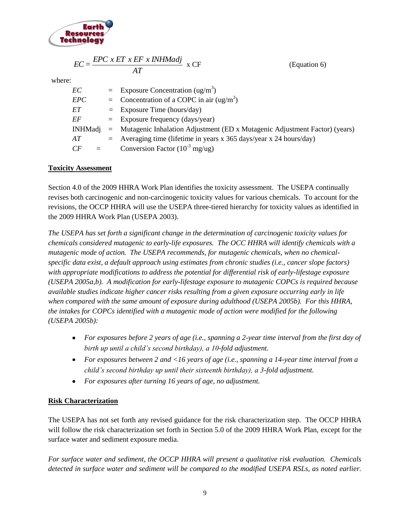

| $EC = \frac{EPC \times ET \times EF \times INHMadj}{ECC} \times CF$ | (Equation 6) |
|---------------------------------------------------------------------|--------------|
|                                                                     |              |

where:

| EС        |     | $=$ Exposure Concentration (ug/m <sup>3</sup> )                                |  |  |  |
|-----------|-----|--------------------------------------------------------------------------------|--|--|--|
| EPC       |     | = Concentration of a COPC in air $(ug/m3)$                                     |  |  |  |
| EТ        |     | $=$ Exposure Time (hours/day)                                                  |  |  |  |
| EF        |     | $=$ Exposure frequency (days/year)                                             |  |  |  |
| INHMadi   |     | $=$ Mutagenic Inhalation Adjustment (ED x Mutagenic Adjustment Factor) (years) |  |  |  |
| AТ        | $=$ | Averaging time (lifetime in years x 365 days/year x 24 hours/day)              |  |  |  |
| CF<br>$=$ |     | Conversion Factor $(10^{-3}$ mg/ug)                                            |  |  |  |
|           |     |                                                                                |  |  |  |

# **Toxicity Assessment**

Section 4.0 of the 2009 HHRA Work Plan identifies the toxicity assessment. The USEPA continually revises both carcinogenic and non-carcinogenic toxicity values for various chemicals. To account for the revisions, the OCCP HHRA will use the USEPA three-tiered hierarchy for toxicity values as identified in the 2009 HHRA Work Plan (USEPA 2003).

*The USEPA has set forth a significant change in the determination of carcinogenic toxicity values for chemicals considered mutagenic to early-life exposures. The OCC HHRA will identify chemicals with a mutagenic mode of action. The USEPA recommends, for mutagenic chemicals, when no chemicalspecific data exist, a default approach using estimates from chronic studies (i.e., cancer slope factors) with appropriate modifications to address the potential for differential risk of early-lifestage exposure (USEPA 2005a,b). A modification for early-lifestage exposure to mutagenic COPCs is required because available studies indicate higher cancer risks resulting from a given exposure occurring early in life when compared with the same amount of exposure during adulthood (USEPA 2005b). For this HHRA, the intakes for COPCs identified with a mutagenic mode of action were modified for the following (USEPA 2005b):*

- *For exposures before 2 years of age (i.e., spanning a 2-year time interval from the first day of birth up until a child's second birthday), a 10-fold adjustment.*
- *For exposures between 2 and <16 years of age (i.e., spanning a 14-year time interval from a child's second birthday up until their sixteenth birthday), a 3-fold adjustment.*
- *For exposures after turning 16 years of age, no adjustment.*  $\bullet$

# **Risk Characterization**

The USEPA has not set forth any revised guidance for the risk characterization step. The OCCP HHRA will follow the risk characterization set forth in Section 5.0 of the 2009 HHRA Work Plan, except for the surface water and sediment exposure media.

*For surface water and sediment, the OCCP HHRA will present a qualitative risk evaluation. Chemicals detected in surface water and sediment will be compared to the modified USEPA RSLs, as noted earlier.*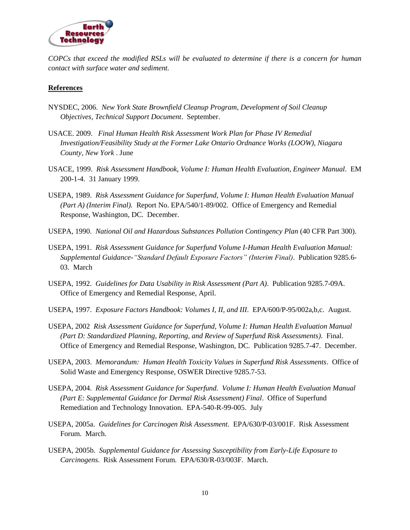

*COPCs that exceed the modified RSLs will be evaluated to determine if there is a concern for human contact with surface water and sediment.*

#### **References**

- NYSDEC, 2006. *New York State Brownfield Cleanup Program, Development of Soil Cleanup Objectives, Technical Support Document*. September.
- USACE. 2009. *Final Human Health Risk Assessment Work Plan for Phase IV Remedial Investigation/Feasibility Study at the Former Lake Ontario Ordnance Works (LOOW), Niagara County, New York* . June
- USACE, 1999. *Risk Assessment Handbook, Volume I: Human Health Evaluation, Engineer Manual*. EM 200-1-4. 31 January 1999.
- USEPA, 1989. *Risk Assessment Guidance for Superfund, Volume I: Human Health Evaluation Manual (Part A) (Interim Final).* Report No. EPA/540/1-89/002. Office of Emergency and Remedial Response, Washington, DC. December.
- USEPA, 1990. *National Oil and Hazardous Substances Pollution Contingency Plan* (40 CFR Part 300).
- USEPA, 1991. *Risk Assessment Guidance for Superfund Volume I-Human Health Evaluation Manual: Supplemental Guidance-"Standard Default Exposure Factors" (Interim Final)*. Publication 9285.6- 03. March
- USEPA, 1992. *Guidelines for Data Usability in Risk Assessment (Part A)*. Publication 9285.7-09A. Office of Emergency and Remedial Response, April.
- USEPA, 1997. *Exposure Factors Handbook: Volumes I, II, and III*. EPA/600/P-95/002a,b,c. August.
- USEPA, 2002 *Risk Assessment Guidance for Superfund, Volume I: Human Health Evaluation Manual (Part D: Standardized Planning, Reporting, and Review of Superfund Risk Assessments)*. Final. Office of Emergency and Remedial Response, Washington, DC. Publication 9285.7-47. December.
- USEPA, 2003. *Memorandum: Human Health Toxicity Values in Superfund Risk Assessments*. Office of Solid Waste and Emergency Response, OSWER Directive 9285.7-53.
- USEPA, 2004. *Risk Assessment Guidance for Superfund. Volume I: Human Health Evaluation Manual (Part E: Supplemental Guidance for Dermal Risk Assessment) Final*. Office of Superfund Remediation and Technology Innovation. EPA-540-R-99-005. July
- USEPA, 2005a. *Guidelines for Carcinogen Risk Assessment*. EPA/630/P-03/001F. Risk Assessment Forum. March.
- USEPA, 2005b. *Supplemental Guidance for Assessing Susceptibility from Early-Life Exposure to Carcinogens*. Risk Assessment Forum. EPA/630/R-03/003F. March.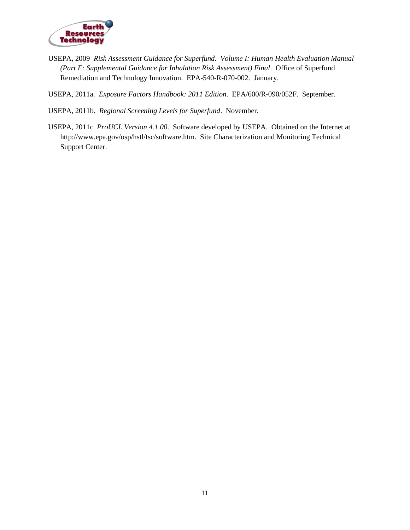

USEPA, 2009 *Risk Assessment Guidance for Superfund. Volume I: Human Health Evaluation Manual (Part F: Supplemental Guidance for Inhalation Risk Assessment) Final*. Office of Superfund Remediation and Technology Innovation. EPA-540-R-070-002. January.

USEPA, 2011a. *Exposure Factors Handbook: 2011 Edition*. EPA/600/R-090/052F. September.

USEPA, 2011b. *Regional Screening Levels for Superfund*. November.

USEPA, 2011c *ProUCL Version 4.1.00*. Software developed by USEPA. Obtained on the Internet at http://www.epa.gov/osp/hstl/tsc/software.htm. Site Characterization and Monitoring Technical Support Center.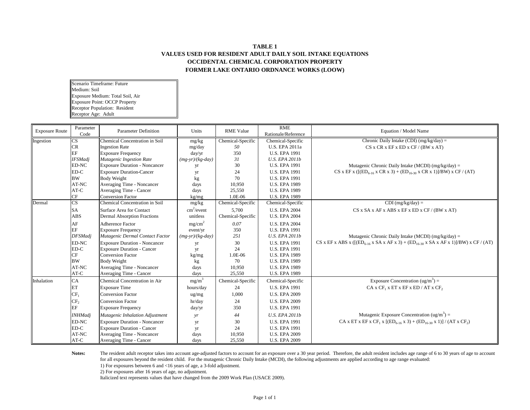#### **TABLE 1 VALUES USED FOR RESIDENT ADULT DAILY SOIL INTAKE EQUATIONS OCCIDENTAL CHEMICAL CORPORATION PROPERTY FORMER LAKE ONTARIO ORDNANCE WORKS (LOOW)**

Scenario Timeframe: Future Medium: Soil Exposure Medium: Total Soil, Air Exposure Point: OCCP Property Receptor Population: Resident Receptor Age: Adult

| <b>Exposure Route</b> | Parameter<br>Code | <b>Parameter Definition</b>          | Units                      | <b>RME Value</b>  | RME<br>Rationale/Reference | Equation / Model Name                                                                                                      |
|-----------------------|-------------------|--------------------------------------|----------------------------|-------------------|----------------------------|----------------------------------------------------------------------------------------------------------------------------|
| Ingestion             | CS                | Chemical Concentration in Soil       | mg/kg                      | Chemical-Specific | Chemical-Specific          | Chronic Daily Intake (CDI) $(mg/kg/day)$ =                                                                                 |
|                       | <b>CR</b>         | <b>Ingestion Rate</b>                | mg/day                     | 50                | U.S. EPA 2011a             | CS x CR x EF x ED x CF / (BW x AT)                                                                                         |
|                       | EF                | <b>Exposure Frequency</b>            | day/yr                     | 350               | <b>U.S. EPA 1991</b>       |                                                                                                                            |
|                       | <b>IFSMadj</b>    | Mutagenic Ingestion Rate             | $(mg-yr)/(kg-day)$         | 31                | <b>U.S. EPA 2011b</b>      |                                                                                                                            |
|                       | <b>ED-NC</b>      | <b>Exposure Duration - Noncancer</b> | yr                         | 30                | <b>U.S. EPA 1991</b>       | Mutagenic Chronic Daily Intake (MCDI) (mg/kg/day) =                                                                        |
|                       | ED-C              | <b>Exposure Duration-Cancer</b>      | yr                         | 24                | <b>U.S. EPA 1991</b>       | CS x EF x ( $[(ED_{6-16} \times CR \times 3) + (ED_{16-30} \times CR \times 1)]/BW$ ) x CF / (AT)                          |
|                       | <b>BW</b>         | <b>Body Weight</b>                   | kg                         | 70                | <b>U.S. EPA 1991</b>       |                                                                                                                            |
|                       | AT-NC             | Averaging Time - Noncancer           | days                       | 10,950            | <b>U.S. EPA 1989</b>       |                                                                                                                            |
|                       | AT-C              | Averaging Time - Cancer              | days                       | 25,550            | <b>U.S. EPA 1989</b>       |                                                                                                                            |
|                       | $\cal{CF}$        | Conversion Factor                    | kg/mg                      | 1.0E-06           | <b>U.S. EPA 1989</b>       |                                                                                                                            |
| Dermal                | CS                | Chemical Concentration in Soil       | mg/kg                      | Chemical-Specific | Chemical-Specific          | $CDI$ (mg/kg/day) =                                                                                                        |
|                       | <b>SA</b>         | Surface Area for Contact             | $\text{cm}^2/\text{event}$ | 5.700             | <b>U.S. EPA 2004</b>       | $CS$ x SA x AF x ABS x EF x ED x CF / (BW x AT)                                                                            |
|                       | <b>ABS</b>        | <b>Dermal Absorption Fractions</b>   | unitless                   | Chemical-Specific | <b>U.S. EPA 2004</b>       |                                                                                                                            |
|                       | AF                | Adherence Factor                     | mg/cm <sup>2</sup>         | 0.07              | <b>U.S. EPA 2004</b>       |                                                                                                                            |
|                       | EF                | <b>Exposure Frequency</b>            | event/yr                   | 350               | <b>U.S. EPA 1991</b>       |                                                                                                                            |
|                       | <b>DFSMadj</b>    | Mutagenic Dermal Contact Factor      | $(mg-vr)/(kg-day)$         | 251               | <b>U.S. EPA 2011b</b>      | Mutagenic Chronic Daily Intake (MCDI) (mg/kg/day) =                                                                        |
|                       | ED-NC             | <b>Exposure Duration - Noncancer</b> | yr                         | 30                | <b>U.S. EPA 1991</b>       | CS x EF x ABS x ( $[(ED_{6.16} \times SA \times AF \times 3) + (ED_{16.30} \times SA \times AF \times 1)]/BW)$ x CF / (AT) |
|                       | ED-C              | <b>Exposure Duration - Cancer</b>    | yr                         | 24                | <b>U.S. EPA 1991</b>       |                                                                                                                            |
|                       | CF                | <b>Conversion Factor</b>             | kg/mg                      | 1.0E-06           | <b>U.S. EPA 1989</b>       |                                                                                                                            |
|                       | <b>BW</b>         | <b>Body Weight</b>                   | kg                         | 70                | <b>U.S. EPA 1989</b>       |                                                                                                                            |
|                       | AT-NC             | Averaging Time - Noncancer           | days                       | 10,950            | <b>U.S. EPA 1989</b>       |                                                                                                                            |
|                       | AT-C              | Averaging Time - Cancer              | days                       | 25,550            | <b>U.S. EPA 1989</b>       |                                                                                                                            |
| Inhalation            | CA                | Chemical Concentration in Air        | $mg/m^3$                   | Chemical-Specific | Chemical-Specific          | Exposure Concentration (ug/m <sup>3</sup> ) =                                                                              |
|                       | ET                | <b>Exposure Time</b>                 | hours/day                  | 24                | <b>U.S. EPA 1991</b>       | $CA \times CF_1 \times ET \times EF \times ED / AT \times CF_2$                                                            |
|                       | $CF_1$            | <b>Conversion Factor</b>             | $\frac{ug}{mg}$            | 1,000             | <b>U.S. EPA 2009</b>       |                                                                                                                            |
|                       | CF <sub>2</sub>   | <b>Conversion Factor</b>             | hr/day                     | 24                | <b>U.S. EPA 2009</b>       |                                                                                                                            |
|                       | EF                | <b>Exposure Frequency</b>            | day/yr                     | 350               | <b>U.S. EPA 1991</b>       |                                                                                                                            |
|                       | <b>INHMadj</b>    | Mutagenic Inhalation Adjustment      | yr                         | 44                | <b>U.S. EPA 2011b</b>      | Mutagenic Exposure Concentration $(ug/m3) =$                                                                               |
|                       | ED-NC             | <b>Exposure Duration - Noncancer</b> | yr                         | 30                | <b>U.S. EPA 1991</b>       | CA x ET x EF x CF <sub>1</sub> x $[(ED_{6-16} x 3) + (ED_{16-30} x 1)] / (AT x CF_2)$                                      |
|                       | $ED-C$            | <b>Exposure Duration - Cancer</b>    | yr                         | 24                | <b>U.S. EPA 1991</b>       |                                                                                                                            |
|                       | AT-NC             | Averaging Time - Noncancer           | days                       | 10,950            | <b>U.S. EPA 2009</b>       |                                                                                                                            |
|                       | AT-C              | Averaging Time - Cancer              | days                       | 25,550            | <b>U.S. EPA 2009</b>       |                                                                                                                            |

**Notes:** The resident adult receptor takes into account age-adjusted factors to account for an exposure over a 30 year period. Therefore, the adult resident includes age range of 6 to 30 years of age to account for all exposures beyond the resident child. For the mutagenic Chronic Daily Intake (MCDI), the following adjustments are applied according to age range evaluated:

1) For exposures between 6 and <16 years of age, a 3-fold adjustment.

2) For exposures after 16 years of age, no adjustment.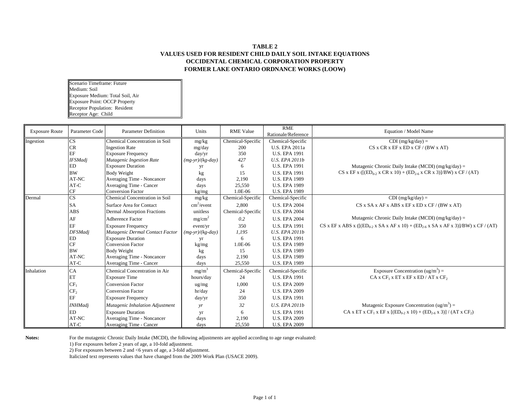#### **TABLE 2 VALUES USED FOR RESIDENT CHILD DAILY SOIL INTAKE EQUATIONS OCCIDENTAL CHEMICAL CORPORATION PROPERTY FORMER LAKE ONTARIO ORDNANCE WORKS (LOOW)**

Scenario Timeframe: Future Medium: Soil Exposure Medium: Total Soil, Air Exposure Point: OCCP Property Receptor Population: Resident Receptor Age: Child

| <b>Exposure Route</b> | Parameter Code         | <b>Parameter Definition</b>        | Units                      | <b>RME Value</b>  | <b>RME</b><br>Rationale/Reference | Equation / Model Name                                                                           |
|-----------------------|------------------------|------------------------------------|----------------------------|-------------------|-----------------------------------|-------------------------------------------------------------------------------------------------|
| Ingestion             | CS                     | Chemical Concentration in Soil     | mg/kg                      | Chemical-Specific | Chemical-Specific                 | $CDI$ (mg/kg/day) =                                                                             |
|                       | CR                     | <b>Ingestion Rate</b>              | mg/day                     | 200               | U.S. EPA 2011a                    | CS x CR x EF x ED x CF / (BW x AT)                                                              |
|                       | EF                     | <b>Exposure Frequency</b>          | day/yr                     | 350               | <b>U.S. EPA 1991</b>              |                                                                                                 |
|                       | <b>IFSMadj</b>         | Mutagenic Ingestion Rate           | $(mg-yr)/(kg-day)$         | 427               | U.S. EPA 2011b                    |                                                                                                 |
|                       | ED                     | <b>Exposure Duration</b>           | yr                         | 6                 | <b>U.S. EPA 1991</b>              | Mutagenic Chronic Daily Intake (MCDI) (mg/kg/day) =                                             |
|                       | <b>BW</b>              | <b>Body Weight</b>                 | kg                         | 15                | <b>U.S. EPA 1991</b>              | CS x EF x ( $[(ED_{0.2} \times CR \times 10) + (ED_{2.6} \times CR \times 3)]/BW$ ) x CF / (AT) |
|                       | AT-NC                  | Averaging Time - Noncancer         | days                       | 2,190             | <b>U.S. EPA 1989</b>              |                                                                                                 |
|                       | AT-C                   | Averaging Time - Cancer            | days                       | 25,550            | <b>U.S. EPA 1989</b>              |                                                                                                 |
|                       | CF                     | <b>Conversion Factor</b>           | kg/mg                      | 1.0E-06           | <b>U.S. EPA 1989</b>              |                                                                                                 |
| Dermal                | $\overline{\text{CS}}$ | Chemical Concentration in Soil     | mg/kg                      | Chemical-Specific | Chemical-Specific                 | $CDI$ (mg/kg/day) =                                                                             |
|                       | SA                     | Surface Area for Contact           | $\text{cm}^2/\text{event}$ | 2,800             | <b>U.S. EPA 2004</b>              | $CS$ x SA x AF x ABS x EF x ED x CF / (BW x AT)                                                 |
|                       | <b>ABS</b>             | <b>Dermal Absorption Fractions</b> | unitless                   | Chemical-Specific | <b>U.S. EPA 2004</b>              |                                                                                                 |
|                       | AF                     | <b>Adherence Factor</b>            | mg/cm <sup>2</sup>         | 0.2               | <b>U.S. EPA 2004</b>              | Mutagenic Chronic Daily Intake (MCDI) ( $mg/kg/day$ ) =                                         |
|                       | EF                     | <b>Exposure Frequency</b>          | event/yr                   | 350               | <b>U.S. EPA 1991</b>              | CS x EF x ABS x ( $[(ED0.2 x SA x AF x 10) + (ED2.6 x SA x AF x 3)]/BW)$ x CF / (AT)            |
|                       | <b>DFSMadj</b>         | Mutagenic Dermal Contact Factor    | $(mg-yr)/(kg-day)$         | 1,195             | <b>U.S. EPA 2011b</b>             |                                                                                                 |
|                       | ED                     | <b>Exposure Duration</b>           | yr                         | 6                 | <b>U.S. EPA 1991</b>              |                                                                                                 |
|                       | CF                     | <b>Conversion Factor</b>           | kg/mg                      | 1.0E-06           | <b>U.S. EPA 1989</b>              |                                                                                                 |
|                       | <b>BW</b>              | <b>Body Weight</b>                 | kg                         | 15                | <b>U.S. EPA 1989</b>              |                                                                                                 |
|                       | AT-NC                  | Averaging Time - Noncancer         | days                       | 2,190             | <b>U.S. EPA 1989</b>              |                                                                                                 |
|                       | AT-C                   | Averaging Time - Cancer            | days                       | 25,550            | <b>U.S. EPA 1989</b>              |                                                                                                 |
| Inhalation            | CA                     | Chemical Concentration in Air      | mg/m <sup>3</sup>          | Chemical-Specific | Chemical-Specific                 | Exposure Concentration $(ug/m^3)$ =                                                             |
|                       | ET                     | <b>Exposure Time</b>               | hours/day                  | 24                | <b>U.S. EPA 1991</b>              | $CA \times CF_1 \times ET \times EF \times ED / AT \times CF_2$                                 |
|                       | CF <sub>1</sub>        | <b>Conversion Factor</b>           | $\frac{ug}{mg}$            | 1,000             | <b>U.S. EPA 2009</b>              |                                                                                                 |
|                       | CF <sub>2</sub>        | <b>Conversion Factor</b>           | hr/day                     | 24                | <b>U.S. EPA 2009</b>              |                                                                                                 |
|                       | EF                     | <b>Exposure Frequency</b>          | day/yr                     | 350               | <b>U.S. EPA 1991</b>              |                                                                                                 |
|                       | <b>INHMadj</b>         | Mutagenic Inhalation Adjustment    | yr                         | 32                | <b>U.S. EPA 2011b</b>             | Mutagenic Exposure Concentration $(ug/m3) =$                                                    |
|                       | ED                     | <b>Exposure Duration</b>           | yr                         | 6                 | <b>U.S. EPA 1991</b>              | CA x ET x CF <sub>1</sub> x EF x $[(ED_{0.2} x 10) + (ED_{2.6} x 3)] / (AT x CF_2)$             |
|                       | AT-NC                  | Averaging Time - Noncancer         | days                       | 2,190             | <b>U.S. EPA 2009</b>              |                                                                                                 |
|                       | AT-C                   | Averaging Time - Cancer            | days                       | 25,550            | <b>U.S. EPA 2009</b>              |                                                                                                 |

Notes: For the mutagenic Chronic Daily Intake (MCDI), the following adjustments are applied according to age range evaluated:

1) For exposures before 2 years of age, a 10-fold adjustment.

2) For exposures between 2 and <6 years of age, a 3-fold adjustment.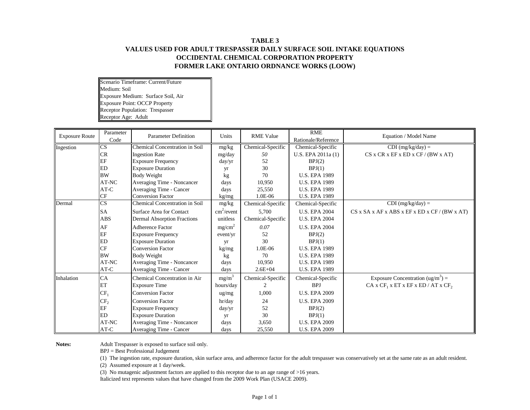# **TABLE 3 VALUES USED FOR ADULT TRESPASSER DAILY SURFACE SOIL INTAKE EQUATIONS OCCIDENTAL CHEMICAL CORPORATION PROPERTY FORMER LAKE ONTARIO ORDNANCE WORKS (LOOW)**

Scenario Timeframe: Current/Future Medium: Soil Exposure Medium: Surface Soil, Air Exposure Point: OCCP Property Receptor Population: Trespasser Receptor Age: Adult

| <b>Exposure Route</b> | Parameter<br>Code      | <b>Parameter Definition</b>           | Units                  | <b>RME Value</b>  | <b>RME</b><br>Rationale/Reference | Equation / Model Name                                      |
|-----------------------|------------------------|---------------------------------------|------------------------|-------------------|-----------------------------------|------------------------------------------------------------|
| Ingestion             | CS                     | <b>Chemical Concentration in Soil</b> | mg/kg                  | Chemical-Specific | Chemical-Specific                 | $CDI$ (mg/kg/day) =                                        |
|                       | <b>CR</b>              | <b>Ingestion Rate</b>                 | mg/day                 | 50                | U.S. EPA 2011a (1)                | CS x CR x EF x ED x CF / (BW x AT)                         |
|                       | EF                     | <b>Exposure Frequency</b>             | day/yr                 | 52                | BPJ(2)                            |                                                            |
|                       | <b>ED</b>              | <b>Exposure Duration</b>              | yr                     | 30                | BPJ(1)                            |                                                            |
|                       | <b>BW</b>              | Body Weight                           | kg                     | 70                | <b>U.S. EPA 1989</b>              |                                                            |
|                       | AT-NC                  | Averaging Time - Noncancer            | days                   | 10,950            | <b>U.S. EPA 1989</b>              |                                                            |
|                       | AT-C                   | Averaging Time - Cancer               | days                   | 25,550            | <b>U.S. EPA 1989</b>              |                                                            |
|                       | CF                     | <b>Conversion Factor</b>              | kg/mg                  | 1.0E-06           | <b>U.S. EPA 1989</b>              |                                                            |
| Dermal                | $\overline{\text{CS}}$ | <b>Chemical Concentration in Soil</b> | mg/kg                  | Chemical-Specific | Chemical-Specific                 | $CDI$ (mg/kg/day) =                                        |
|                       | SA                     | Surface Area for Contact              | cm <sup>2</sup> /event | 5,700             | <b>U.S. EPA 2004</b>              | $CS$ x SA x AF x ABS x EF x ED x CF / (BW x AT)            |
|                       | <b>ABS</b>             | <b>Dermal Absorption Fractions</b>    | unitless               | Chemical-Specific | <b>U.S. EPA 2004</b>              |                                                            |
|                       | AF                     | Adherence Factor                      | mg/cm <sup>2</sup>     | 0.07              | <b>U.S. EPA 2004</b>              |                                                            |
|                       | EF                     | <b>Exposure Frequency</b>             | event/yr               | 52                | BPJ(2)                            |                                                            |
|                       | <b>ED</b>              | <b>Exposure Duration</b>              | yr                     | 30                | BPJ(1)                            |                                                            |
|                       | CF                     | <b>Conversion Factor</b>              | kg/mg                  | 1.0E-06           | <b>U.S. EPA 1989</b>              |                                                            |
|                       | <b>BW</b>              | Body Weight                           | kg                     | 70                | <b>U.S. EPA 1989</b>              |                                                            |
|                       | AT-NC                  | Averaging Time - Noncancer            | days                   | 10,950            | <b>U.S. EPA 1989</b>              |                                                            |
|                       | $AT-C$                 | Averaging Time - Cancer               | days                   | $2.6E + 04$       | <b>U.S. EPA 1989</b>              |                                                            |
| Inhalation            | CA                     | <b>Chemical Concentration in Air</b>  | mg/m <sup>3</sup>      | Chemical-Specific | Chemical-Specific                 | Exposure Concentration $(ug/m^3)$ =                        |
|                       | ET                     | <b>Exposure Time</b>                  | hours/day              | 2                 | <b>BPJ</b>                        | CA x CF <sub>1</sub> x ET x EF x ED / AT x CF <sub>2</sub> |
|                       | $CF_1$                 | <b>Conversion Factor</b>              | ug/mg                  | 1,000             | <b>U.S. EPA 2009</b>              |                                                            |
|                       | CF <sub>2</sub>        | <b>Conversion Factor</b>              | hr/day                 | 24                | <b>U.S. EPA 2009</b>              |                                                            |
|                       | EF                     | <b>Exposure Frequency</b>             | day/yr                 | 52                | BPJ(2)                            |                                                            |
|                       | ED                     | <b>Exposure Duration</b>              | yr                     | 30                | BPJ(1)                            |                                                            |
|                       | AT-NC                  | Averaging Time - Noncancer            | days                   | 3,650             | <b>U.S. EPA 2009</b>              |                                                            |
|                       | $AT-C$                 | Averaging Time - Cancer               | days                   | 25,550            | <b>U.S. EPA 2009</b>              |                                                            |

**Notes:** Adult Trespasser is exposed to surface soil only.

BPJ = Best Professional Judgement

(1) The ingestion rate, exposure duration, skin surface area, and adherence factor for the adult trespasser was conservatively set at the same rate as an adult resident.

(2) Assumed exposure at 1 day/week.

(3) No mutagenic adjustment factors are applied to this receptor due to an age range of >16 years.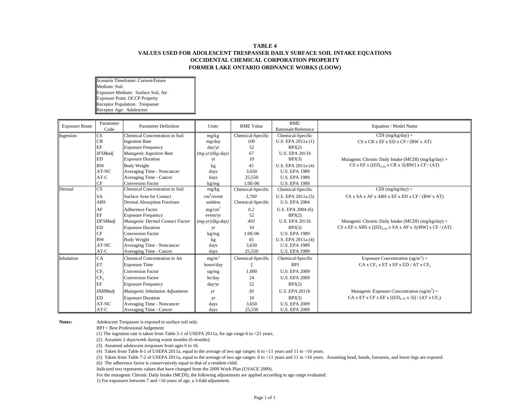#### **TABLE 4 VALUES USED FOR ADOLESCENT TRESPASSER DAILY SURFACE SOIL INTAKE EQUATIONS OCCIDENTAL CHEMICAL CORPORATION PROPERTY FORMER LAKE ONTARIO ORDNANCE WORKS (LOOW)**

Scenario Timeframe: Current/Future Medium: Soil Exposure Medium: Surface Soil, Air Exposure Point: OCCP Property Receptor Population: Trespasser Receptor Age: Adolescent

| <b>Exposure Route</b> | Parameter<br>Code      | <b>Parameter Definition</b>           | Units              | <b>RME Value</b>  | <b>RME</b><br>Rationale/Reference | Equation / Model Name                                                            |
|-----------------------|------------------------|---------------------------------------|--------------------|-------------------|-----------------------------------|----------------------------------------------------------------------------------|
| Ingestion             | CS                     | <b>Chemical Concentration in Soil</b> | mg/kg              | Chemical-Specific | Chemical-Specific                 | $CDI$ (mg/kg/day) =                                                              |
|                       | CR                     | <b>Ingestion Rate</b>                 | mg/day             | 100               | U.S. EPA 2011a (1)                | CS x CR x EF x ED x CF / (BW x AT)                                               |
|                       | EF                     | <b>Exposure Frequency</b>             | day/yr             | 52                | BPJ(2)                            |                                                                                  |
|                       | <b>IFSMadj</b>         | Mutagenic Ingestion Rate              | $(mg-yr)/(kg-day)$ | 67                | <b>U.S. EPA 2011b</b>             |                                                                                  |
|                       | <b>ED</b>              | <b>Exposure Duration</b>              | yr                 | 10                | BPJ(3)                            | Mutagenic Chronic Daily Intake (MCDI) ( $mg/kg/day$ ) =                          |
|                       | <b>BW</b>              | <b>Body Weight</b>                    | kg                 | 45                | U.S. EPA 2011a (4)                | CS x EF x $[(ED6-16 x CR x 3)/BW]$ x CF / (AT)                                   |
|                       | AT-NC                  | Averaging Time - Noncancer            | days               | 3,650             | <b>U.S. EPA 1989</b>              |                                                                                  |
|                       | $AT-C$                 | Averaging Time - Cancer               | days               | 25,550            | <b>U.S. EPA 1989</b>              |                                                                                  |
|                       | $\rm CF$               | <b>Conversion Factor</b>              | kg/mg              | 1.0E-06           | <b>U.S. EPA 1989</b>              |                                                                                  |
| Dermal                | $\overline{\text{CS}}$ | <b>Chemical Concentration in Soil</b> | mg/kg              | Chemical-Specific | Chemical-Specific                 | $CDI$ (mg/kg/day) =                                                              |
|                       | <b>SA</b>              | Surface Area for Contact              | $cm^2$ /event      | 3,700             | U.S. EPA 2011a (5)                | $CS$ x SA x AF x ABS x EF x ED x CF / (BW x AT)                                  |
|                       | <b>ABS</b>             | <b>Dermal Absorption Fractions</b>    | unitless           | Chemical-Specific | <b>U.S. EPA 2004</b>              |                                                                                  |
|                       | AF                     | <b>Adherence Factor</b>               | mg/cm <sup>2</sup> | 0.2               | U.S. EPA 2004 (6)                 |                                                                                  |
|                       | EF                     | <b>Exposure Frequency</b>             | event/yr           | 52                | BPJ(2)                            |                                                                                  |
|                       | <b>DFSMadj</b>         | Mutagenic Dermal Contact Factor       | $(mg-yr)/(kg-day)$ | 493               | <b>U.S. EPA 2011b</b>             | Mutagenic Chronic Daily Intake (MCDI) ( $mg/kg/day$ ) =                          |
|                       | <b>ED</b>              | <b>Exposure Duration</b>              | yr                 | 10                | BPJ(3)                            | CS x EF x ABS x $[(ED_{6-16} \times SA \times AF \times 3)/BW] \times CF / (AT)$ |
|                       | CF                     | <b>Conversion Factor</b>              | kg/mg              | 1.0E-06           | <b>U.S. EPA 1989</b>              |                                                                                  |
|                       | <b>BW</b>              | <b>Body Weight</b>                    | kg                 | 45                | U.S. EPA 2011a (4)                |                                                                                  |
|                       | AT-NC                  | Averaging Time - Noncancer            | days               | 3,650             | <b>U.S. EPA 1989</b>              |                                                                                  |
|                       | $AT-C$                 | Averaging Time - Cancer               | days               | 25,550            | <b>U.S. EPA 1989</b>              |                                                                                  |
| Inhalation            | CA                     | Chemical Concentration in Air         | mg/m <sup>3</sup>  | Chemical-Specific | Chemical-Specific                 | Exposure Concentration (ug/m <sup>3</sup> ) =                                    |
|                       | ET                     | <b>Exposure Time</b>                  | hours/day          | $\mathcal{D}$     | <b>BPJ</b>                        | $CA$ x $CF_1$ x $ET$ x $EF$ x $ED$ / $AT$ x $CF_2$                               |
|                       | $CF_1$                 | <b>Conversion Factor</b>              | $\frac{ug}{mg}$    | 1,000             | <b>U.S. EPA 2009</b>              |                                                                                  |
|                       | CF <sub>2</sub>        | <b>Conversion Factor</b>              | hr/day             | 24                | <b>U.S. EPA 2009</b>              |                                                                                  |
|                       | EF                     | <b>Exposure Frequency</b>             | day/yr             | 52                | BPJ(2)                            |                                                                                  |
|                       | <b>INHMadj</b>         | Mutagenic Inhalation Adjustment       | yr                 | 30                | <b>U.S. EPA 2011b</b>             | Mutagenic Exposure Concentration $(ug/m^3)$ =                                    |
|                       | <b>ED</b>              | <b>Exposure Duration</b>              | yr                 | 10                | BPJ(3)                            | CA x ET x CF x EF x $[(ED_{6,16} x 3)] / (AT x CF_2)$                            |
|                       | AT-NC                  | Averaging Time - Noncancer            | days               | 3,650             | <b>U.S. EPA 2009</b>              |                                                                                  |
|                       | $AT-C$                 | Averaging Time - Cancer               | days               | 25.550            | <b>U.S. EPA 2009</b>              |                                                                                  |

**Notes:** Adolescent Trespasser is exposed to surface soil only.

BPJ = Best Professional Judgement

(1) The ingestion rate is taken from Table 5-1 of USEPA 2011a, for age range 6 to  $\leq$  21 years.

(2) Assumes 2 days/week during warm months (6 months).

(3) Assumed adolescent trespasser from ages 6 to 16.

(4) Taken from Table 8-1 of USEPA 2011a, equal to the average of two age ranges: 6 to <11 years and 11 to <16 years.

(5) Taken from Table 7-2 of USEPA 2011a, equal to the average of two age ranges: 6 to <11 years and 11 to <16 years. Assuming head, hands, forearms, and lower legs are exposed.

(6) The adherence factor is conservatively equal to that of a resident child.

Italicized text represents values that have changed from the 2009 Work Plan (USACE 2009).

For the mutagenic Chronic Daily Intake (MCDI), the following adjustments are applied according to age range evaluated:

1) For exposures between 7 and <16 years of age, a 3-fold adjustment.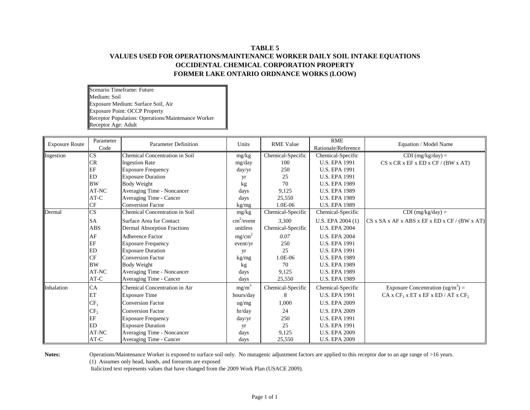# **TABLE 5 VALUES USED FOR OPERATIONS/MAINTENANCE WORKER DAILY SOIL INTAKE EQUATIONS OCCIDENTAL CHEMICAL CORPORATION PROPERTY FORMER LAKE ONTARIO ORDNANCE WORKS (LOOW)**

Scenario Timeframe: Future Medium: Soil Exposure Medium: Surface Soil, Air Exposure Point: OCCP Property Receptor Population: Operations/Maintenance Worker Receptor Age: Adult

| <b>Exposure Route</b> | Parameter<br>Code      | <b>Parameter Definition</b>           | Units                      | <b>RME Value</b>  | RME<br>Rationale/Reference | Equation / Model Name                                      |
|-----------------------|------------------------|---------------------------------------|----------------------------|-------------------|----------------------------|------------------------------------------------------------|
| Ingestion             | $\mathbf{C}\mathbf{S}$ | <b>Chemical Concentration in Soil</b> | mg/kg                      | Chemical-Specific | Chemical-Specific          | $CDI$ (mg/kg/day) =                                        |
|                       | CR                     | <b>Ingestion Rate</b>                 | mg/day                     | 100               | <b>U.S. EPA 1991</b>       | CS x CR x EF x ED x CF / (BW x AT)                         |
|                       | EF                     | <b>Exposure Frequency</b>             | day/yr                     | 250               | <b>U.S. EPA 1991</b>       |                                                            |
|                       | <b>ED</b>              | <b>Exposure Duration</b>              | yr                         | 25                | <b>U.S. EPA 1991</b>       |                                                            |
|                       | <b>BW</b>              | <b>Body Weight</b>                    | kg                         | 70                | <b>U.S. EPA 1989</b>       |                                                            |
|                       | AT-NC                  | Averaging Time - Noncancer            | days                       | 9,125             | <b>U.S. EPA 1989</b>       |                                                            |
|                       | $AT-C$                 | Averaging Time - Cancer               | days                       | 25,550            | <b>U.S. EPA 1989</b>       |                                                            |
|                       | CF                     | <b>Conversion Factor</b>              | kg/mg                      | 1.0E-06           | <b>U.S. EPA 1989</b>       |                                                            |
| Dermal                | CS                     | Chemical Concentration in Soil        | mg/kg                      | Chemical-Specific | Chemical-Specific          | $CDI$ (mg/kg/day) =                                        |
|                       | <b>SA</b>              | Surface Area for Contact              | $\text{cm}^2/\text{event}$ | 3,300             | U.S. EPA 2004 (1)          | $CS$ x SA x AF x ABS x EF x ED x CF / (BW x AT)            |
|                       | <b>ABS</b>             | <b>Dermal Absorption Fractions</b>    | unitless                   | Chemical-Specific | <b>U.S. EPA 2004</b>       |                                                            |
|                       | AF                     | <b>Adherence Factor</b>               | mg/cm <sup>2</sup>         | 0.07              | <b>U.S. EPA 2004</b>       |                                                            |
|                       | EF                     | <b>Exposure Frequency</b>             | event/yr                   | 250               | <b>U.S. EPA 1991</b>       |                                                            |
|                       | ED                     | <b>Exposure Duration</b>              | yr                         | 25                | <b>U.S. EPA 1991</b>       |                                                            |
|                       | <b>CF</b>              | <b>Conversion Factor</b>              | kg/mg                      | 1.0E-06           | <b>U.S. EPA 1989</b>       |                                                            |
|                       | <b>BW</b>              | Body Weight                           | kg                         | 70                | <b>U.S. EPA 1989</b>       |                                                            |
|                       | AT-NC                  | Averaging Time - Noncancer            | days                       | 9,125             | <b>U.S. EPA 1989</b>       |                                                            |
|                       | $AT-C$                 | Averaging Time - Cancer               | days                       | 25,550            | <b>U.S. EPA 1989</b>       |                                                            |
| Inhalation            | CA                     | Chemical Concentration in Air         | mg/m <sup>3</sup>          | Chemical-Specific | Chemical-Specific          | Exposure Concentration $(ug/m^3)$ =                        |
|                       | ET                     | <b>Exposure Time</b>                  | hours/day                  | 8                 | <b>U.S. EPA 1991</b>       | CA x CF <sub>1</sub> x ET x EF x ED / AT x CF <sub>2</sub> |
|                       | $CF_1$                 | <b>Conversion Factor</b>              | ug/mg                      | 1,000             | <b>U.S. EPA 2009</b>       |                                                            |
|                       | CF <sub>2</sub>        | <b>Conversion Factor</b>              | hr/day                     | 24                | <b>U.S. EPA 2009</b>       |                                                            |
|                       | EF                     | <b>Exposure Frequency</b>             | day/yr                     | 250               | <b>U.S. EPA 1991</b>       |                                                            |
|                       | <b>ED</b>              | <b>Exposure Duration</b>              | yr                         | 25                | <b>U.S. EPA 1991</b>       |                                                            |
|                       | AT-NC                  | Averaging Time - Noncancer            | days                       | 9,125             | <b>U.S. EPA 2009</b>       |                                                            |
|                       | AT-C                   | Averaging Time - Cancer               | days                       | 25,550            | <b>U.S. EPA 2009</b>       |                                                            |

Notes: Operations/Maintenance Worker is exposed to surface soil only. No mutagenic adjustment factors are applied to this receptor due to an age range of >16 years.

(1) Assumes only head, hands, and forearms are exposed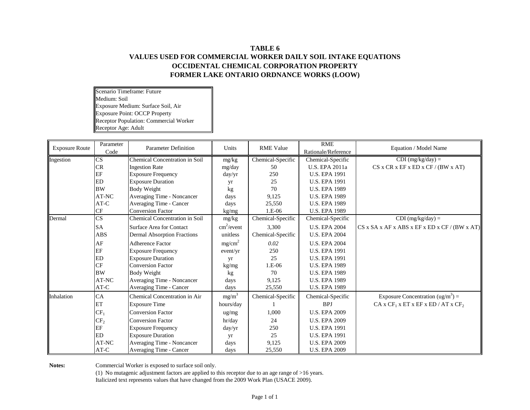# **TABLE 6 VALUES USED FOR COMMERCIAL WORKER DAILY SOIL INTAKE EQUATIONS OCCIDENTAL CHEMICAL CORPORATION PROPERTY FORMER LAKE ONTARIO ORDNANCE WORKS (LOOW)**

Scenario Timeframe: Future Medium: Soil Exposure Medium: Surface Soil, Air Exposure Point: OCCP Property Receptor Population: Commercial Worker Receptor Age: Adult

| <b>Exposure Route</b> | Parameter<br>Code      | <b>Parameter Definition</b>           | Units                  | <b>RME Value</b>  | <b>RME</b><br>Rationale/Reference | Equation / Model Name                                      |  |
|-----------------------|------------------------|---------------------------------------|------------------------|-------------------|-----------------------------------|------------------------------------------------------------|--|
| Ingestion             | CS                     | <b>Chemical Concentration in Soil</b> | mg/kg                  | Chemical-Specific | Chemical-Specific                 | $CDI$ (mg/kg/day) =                                        |  |
|                       | CR                     | <b>Ingestion Rate</b>                 | mg/day                 | 50                | U.S. EPA 2011a                    | CS x CR x EF x ED x CF / (BW x AT)                         |  |
|                       | EF                     | <b>Exposure Frequency</b>             | day/yr                 | 250               | <b>U.S. EPA 1991</b>              |                                                            |  |
|                       | <b>ED</b>              | <b>Exposure Duration</b>              |                        | 25                | <b>U.S. EPA 1991</b>              |                                                            |  |
|                       | <b>BW</b>              | <b>Body Weight</b>                    | yr<br>kg               | 70                | <b>U.S. EPA 1989</b>              |                                                            |  |
|                       | AT-NC                  | Averaging Time - Noncancer            | days                   | 9,125             | <b>U.S. EPA 1989</b>              |                                                            |  |
|                       | $AT-C$                 | Averaging Time - Cancer               | days                   | 25,550            | <b>U.S. EPA 1989</b>              |                                                            |  |
|                       | CF                     | <b>Conversion Factor</b>              | kg/mg                  | 1.E-06            | <b>U.S. EPA 1989</b>              |                                                            |  |
| Dermal                | $\overline{\text{CS}}$ | Chemical Concentration in Soil        | mg/kg                  | Chemical-Specific | Chemical-Specific                 | $CDI$ (mg/kg/day) =                                        |  |
|                       | <b>SA</b>              | Surface Area for Contact              | cm <sup>2</sup> /event | 3,300             | <b>U.S. EPA 2004</b>              | $CS$ x SA x AF x ABS x EF x ED x CF / (BW x AT)            |  |
|                       | <b>ABS</b>             |                                       | unitless               |                   | <b>U.S. EPA 2004</b>              |                                                            |  |
|                       |                        | <b>Dermal Absorption Fractions</b>    |                        | Chemical-Specific |                                   |                                                            |  |
|                       | AF                     | Adherence Factor                      | mg/cm <sup>2</sup>     | 0.02              | <b>U.S. EPA 2004</b>              |                                                            |  |
|                       | EF                     | <b>Exposure Frequency</b>             | event/yr               | 250               | <b>U.S. EPA 1991</b>              |                                                            |  |
|                       | ED                     | <b>Exposure Duration</b>              | yr                     | 25                | <b>U.S. EPA 1991</b>              |                                                            |  |
|                       | CF                     | <b>Conversion Factor</b>              | kg/mg                  | $1.E-06$          | <b>U.S. EPA 1989</b>              |                                                            |  |
|                       | <b>BW</b>              | <b>Body Weight</b>                    | kg                     | 70                | <b>U.S. EPA 1989</b>              |                                                            |  |
|                       | AT-NC                  | Averaging Time - Noncancer            | days                   | 9,125             | <b>U.S. EPA 1989</b>              |                                                            |  |
|                       | $AT-C$                 | Averaging Time - Cancer               | days                   | 25,550            | <b>U.S. EPA 1989</b>              |                                                            |  |
| Inhalation            | CA                     | Chemical Concentration in Air         | $mg/m^3$               | Chemical-Specific | Chemical-Specific                 | Exposure Concentration $(ug/m^3)$ =                        |  |
|                       | ET                     | <b>Exposure Time</b>                  | hours/day              |                   | <b>BPJ</b>                        | CA x CF <sub>1</sub> x ET x EF x ED / AT x CF <sub>2</sub> |  |
|                       | CF <sub>1</sub>        | <b>Conversion Factor</b>              | $\frac{ug}{mg}$        | 1,000             | <b>U.S. EPA 2009</b>              |                                                            |  |
|                       | CF <sub>2</sub>        | <b>Conversion Factor</b>              | hr/day                 | 24                | <b>U.S. EPA 2009</b>              |                                                            |  |
|                       | EF                     | <b>Exposure Frequency</b>             | day/yr                 | 250               | <b>U.S. EPA 1991</b>              |                                                            |  |
|                       | <b>ED</b>              | <b>Exposure Duration</b>              | yr                     | 25                | <b>U.S. EPA 1991</b>              |                                                            |  |
|                       | AT-NC                  | Averaging Time - Noncancer            | days                   | 9,125             | <b>U.S. EPA 2009</b>              |                                                            |  |
|                       | $AT-C$                 | Averaging Time - Cancer               | days                   | 25,550            | <b>U.S. EPA 2009</b>              |                                                            |  |

Notes: Commercial Worker is exposed to surface soil only.

(1) No mutagenic adjustment factors are applied to this receptor due to an age range of >16 years. Italicized text represents values that have changed from the 2009 Work Plan (USACE 2009).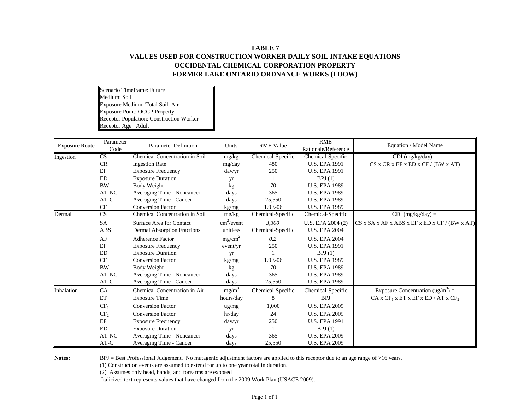# **TABLE 7 VALUES USED FOR CONSTRUCTION WORKER DAILY SOIL INTAKE EQUATIONS OCCIDENTAL CHEMICAL CORPORATION PROPERTY FORMER LAKE ONTARIO ORDNANCE WORKS (LOOW)**

Scenario Timeframe: Future Medium: Soil Exposure Medium: Total Soil, Air Exposure Point: OCCP Property Receptor Population: Construction Worker Receptor Age: Adult

| <b>Exposure Route</b> | Parameter<br>Code      | <b>Parameter Definition</b>           | Units                      | <b>RME Value</b>  | <b>RME</b><br>Rationale/Reference | Equation / Model Name                                      |  |
|-----------------------|------------------------|---------------------------------------|----------------------------|-------------------|-----------------------------------|------------------------------------------------------------|--|
| Ingestion             | $\overline{\text{CS}}$ | <b>Chemical Concentration in Soil</b> | mg/kg                      | Chemical-Specific | Chemical-Specific                 | $CDI$ (mg/kg/day) =                                        |  |
|                       | CR                     | <b>Ingestion Rate</b>                 | mg/day                     | 480               | <b>U.S. EPA 1991</b>              | CS x CR x EF x ED x CF / (BW x AT)                         |  |
|                       | EF                     | <b>Exposure Frequency</b>             | day/yr                     | 250               | <b>U.S. EPA 1991</b>              |                                                            |  |
|                       | <b>ED</b>              | <b>Exposure Duration</b>              | yr                         |                   | BPJ(1)                            |                                                            |  |
|                       | <b>BW</b>              | Body Weight                           | kg                         | 70                | <b>U.S. EPA 1989</b>              |                                                            |  |
|                       | AT-NC                  | Averaging Time - Noncancer            | days                       | 365               | <b>U.S. EPA 1989</b>              |                                                            |  |
|                       | AT-C                   | Averaging Time - Cancer               | days                       | 25,550            | <b>U.S. EPA 1989</b>              |                                                            |  |
|                       | CF                     | <b>Conversion Factor</b>              | kg/mg                      | 1.0E-06           | <b>U.S. EPA 1989</b>              |                                                            |  |
| Dermal                | $\overline{\text{CS}}$ | <b>Chemical Concentration in Soil</b> | mg/kg                      | Chemical-Specific | Chemical-Specific                 | $CDI$ (mg/kg/day) =                                        |  |
|                       | <b>SA</b>              | Surface Area for Contact              | $\text{cm}^2/\text{event}$ | 3.300             | U.S. EPA 2004 (2)                 | $CS$ x SA x AF x ABS x EF x ED x CF / (BW x AT)            |  |
|                       | ABS                    | <b>Dermal Absorption Fractions</b>    | unitless                   | Chemical-Specific | <b>U.S. EPA 2004</b>              |                                                            |  |
|                       | AF                     | <b>Adherence Factor</b>               | mg/cm <sup>2</sup>         | 0.2               | <b>U.S. EPA 2004</b>              |                                                            |  |
|                       | EF                     | <b>Exposure Frequency</b>             | event/yr                   | 250               | <b>U.S. EPA 1991</b>              |                                                            |  |
|                       | <b>ED</b>              | <b>Exposure Duration</b>              | yr                         |                   | BPJ(1)                            |                                                            |  |
|                       | <b>CF</b>              | <b>Conversion Factor</b>              | kg/mg                      | 1.0E-06           | <b>U.S. EPA 1989</b>              |                                                            |  |
|                       | <b>BW</b>              | Body Weight                           | kg                         | 70                | <b>U.S. EPA 1989</b>              |                                                            |  |
|                       | AT-NC                  | Averaging Time - Noncancer            | days                       | 365               | <b>U.S. EPA 1989</b>              |                                                            |  |
|                       | $AT-C$                 | Averaging Time - Cancer               | days                       | 25,550            | <b>U.S. EPA 1989</b>              |                                                            |  |
| Inhalation            | CA                     | Chemical Concentration in Air         | $mg/m^3$                   | Chemical-Specific | Chemical-Specific                 | Exposure Concentration $(ug/m^3)$ =                        |  |
|                       | ET                     | <b>Exposure Time</b>                  | hours/day                  | 8                 | <b>BPJ</b>                        | CA x CF <sub>1</sub> x ET x EF x ED / AT x CF <sub>2</sub> |  |
|                       | CF <sub>1</sub>        | <b>Conversion Factor</b>              | ug/mg                      | 1,000             | <b>U.S. EPA 2009</b>              |                                                            |  |
|                       | CF <sub>2</sub>        | <b>Conversion Factor</b>              | hr/day                     | 24                | <b>U.S. EPA 2009</b>              |                                                            |  |
|                       | EF                     | <b>Exposure Frequency</b>             | day/yr                     | 250               | <b>U.S. EPA 1991</b>              |                                                            |  |
|                       | <b>ED</b>              | <b>Exposure Duration</b>              | yr                         |                   | BPJ(1)                            |                                                            |  |
|                       | AT-NC                  | Averaging Time - Noncancer            | days                       | 365               | <b>U.S. EPA 2009</b>              |                                                            |  |
|                       | $AT-C$                 | Averaging Time - Cancer               | days                       | 25,550            | <b>U.S. EPA 2009</b>              |                                                            |  |

Notes: BPJ = Best Professional Judgement. No mutagenic adjustment factors are applied to this receptor due to an age range of >16 years.

(1) Construction events are assumed to extend for up to one year total in duration.

(2) Assumes only head, hands, and forearms are exposed